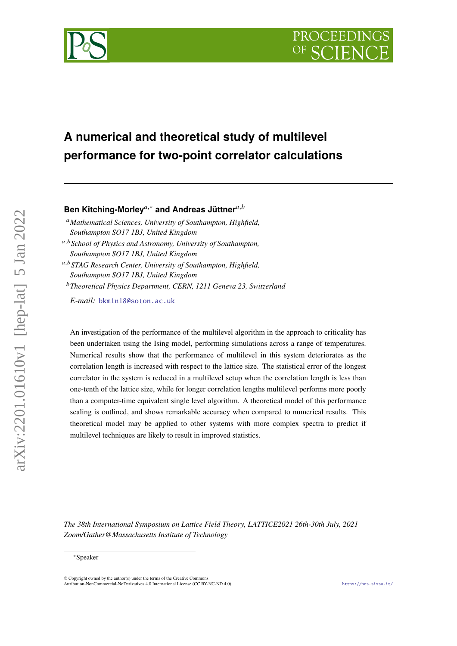# **PROCEEDING**



## **A numerical and theoretical study of multilevel performance for two-point correlator calculations**

### **Ben Kitching-Morley**<sup>a,∗</sup> and Andreas Jüttner<sup>a,b</sup>

*Mathematical Sciences, University of Southampton, Highfield, Southampton SO17 1BJ, United Kingdom*

,*School of Physics and Astronomy, University of Southampton, Southampton SO17 1BJ, United Kingdom*

,*STAG Research Center, University of Southampton, Highfield, Southampton SO17 1BJ, United Kingdom*

*Theoretical Physics Department, CERN, 1211 Geneva 23, Switzerland*

*E-mail:* [bkm1n18@soton.ac.uk](mailto:bkm1n18@soton.ac.uk)

An investigation of the performance of the multilevel algorithm in the approach to criticality has been undertaken using the Ising model, performing simulations across a range of temperatures. Numerical results show that the performance of multilevel in this system deteriorates as the correlation length is increased with respect to the lattice size. The statistical error of the longest correlator in the system is reduced in a multilevel setup when the correlation length is less than one-tenth of the lattice size, while for longer correlation lengths multilevel performs more poorly than a computer-time equivalent single level algorithm. A theoretical model of this performance scaling is outlined, and shows remarkable accuracy when compared to numerical results. This theoretical model may be applied to other systems with more complex spectra to predict if multilevel techniques are likely to result in improved statistics.

*The 38th International Symposium on Lattice Field Theory, LATTICE2021 26th-30th July, 2021 Zoom/Gather@Massachusetts Institute of Technology*

arXiv:2201.01610v1 [hep-lat] 5 Jan 2022

 $arXiv:2201.01610v1$  [hep-lat] 5 Jan 2022

<sup>∗</sup>Speaker

 $\odot$  Copyright owned by the author(s) under the terms of the Creative Common Attribution-NonCommercial-NoDerivatives 4.0 International License (CC BY-NC-ND 4.0). <https://pos.sissa.it/>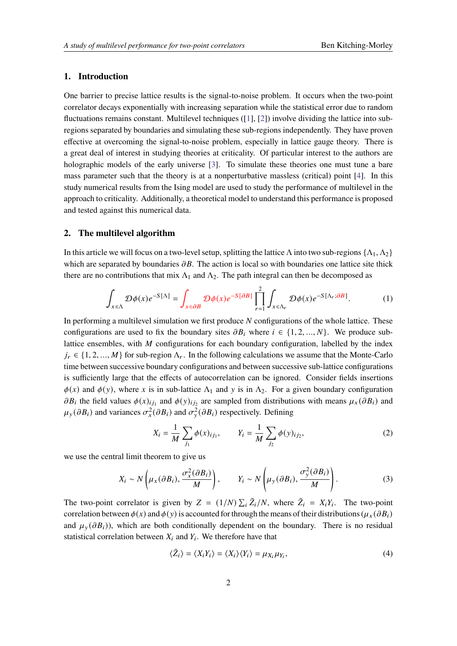#### **1. Introduction**

One barrier to precise lattice results is the signal-to-noise problem. It occurs when the two-point correlator decays exponentially with increasing separation while the statistical error due to random fluctuations remains constant. Multilevel techniques ([\[1\]](#page-8-0), [\[2\]](#page-8-1)) involve dividing the lattice into subregions separated by boundaries and simulating these sub-regions independently. They have proven effective at overcoming the signal-to-noise problem, especially in lattice gauge theory. There is a great deal of interest in studying theories at criticality. Of particular interest to the authors are holographic models of the early universe [\[3\]](#page-8-2). To simulate these theories one must tune a bare mass parameter such that the theory is at a nonperturbative massless (critical) point [\[4\]](#page-8-3). In this study numerical results from the Ising model are used to study the performance of multilevel in the approach to criticality. Additionally, a theoretical model to understand this performance is proposed and tested against this numerical data.

#### **2. The multilevel algorithm**

In this article we will focus on a two-level setup, splitting the lattice Λ into two sub-regions  $\{\Lambda_1, \Lambda_2\}$ which are separated by boundaries  $\partial B$ . The action is local so with boundaries one lattice site thick there are no contributions that mix  $\Lambda_1$  and  $\Lambda_2$ . The path integral can then be decomposed as

$$
\int_{x \in \Lambda} \mathcal{D}\phi(x) e^{-S[\Lambda]} = \int_{x \in \partial B} \mathcal{D}\phi(x) e^{-S[\partial B]} \prod_{r=1}^{2} \int_{x \in \Lambda_r} \mathcal{D}\phi(x) e^{-S[\Lambda_r; \partial B]}.
$$
 (1)

In performing a multilevel simulation we first produce  $N$  configurations of the whole lattice. These configurations are used to fix the boundary sites  $\partial B_i$  where  $i \in \{1, 2, ..., N\}$ . We produce sublattice ensembles, with  $M$  configurations for each boundary configuration, labelled by the index  $j_r \in \{1, 2, ..., M\}$  for sub-region  $\Lambda_r$ . In the following calculations we assume that the Monte-Carlo time between successive boundary configurations and between successive sub-lattice configurations is sufficiently large that the effects of autocorrelation can be ignored. Consider fields insertions  $\phi(x)$  and  $\phi(y)$ , where x is in sub-lattice  $\Lambda_1$  and y is in  $\Lambda_2$ . For a given boundary configuration  $\partial B_i$  the field values  $\phi(x)_{ij_1}$  and  $\phi(y)_{ij_2}$  are sampled from distributions with means  $\mu_x(\partial B_i)$  and  $\mu_y(\partial B_i)$  and variances  $\sigma_x^2(\partial B_i)$  and  $\sigma_y^2(\partial B_i)$  respectively. Defining

$$
X_i = \frac{1}{M} \sum_{j_1} \phi(x)_{ij_1}, \qquad Y_i = \frac{1}{M} \sum_{j_2} \phi(y)_{ij_2}, \tag{2}
$$

we use the central limit theorem to give us

$$
X_i \sim N\left(\mu_X(\partial B_i), \frac{\sigma_X^2(\partial B_i)}{M}\right), \qquad Y_i \sim N\left(\mu_Y(\partial B_i), \frac{\sigma_Y^2(\partial B_i)}{M}\right).
$$
 (3)

The two-point correlator is given by  $Z = (1/N) \sum_i \tilde{Z}_i/N$ , where  $\tilde{Z}_i = X_i Y_i$ . The two-point correlation between  $\phi(x)$  and  $\phi(y)$  is accounted for through the means of their distributions ( $\mu_x(\partial B_i)$ and  $\mu_v(\partial B_i)$ , which are both conditionally dependent on the boundary. There is no residual statistical correlation between  $X_i$  and  $Y_i$ . We therefore have that

$$
\langle \tilde{Z}_i \rangle = \langle X_i Y_i \rangle = \langle X_i \rangle \langle Y_i \rangle = \mu_{X_i} \mu_{Y_i},\tag{4}
$$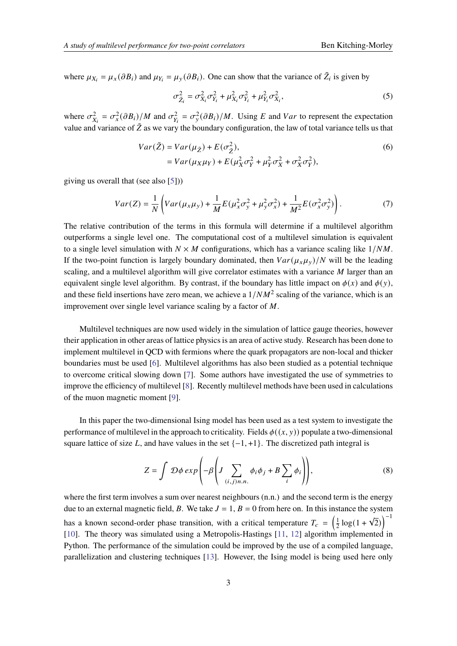where  $\mu_{X_i} = \mu_X(\partial B_i)$  and  $\mu_{Y_i} = \mu_Y(\partial B_i)$ . One can show that the variance of  $\tilde{Z}_i$  is given by

<span id="page-2-0"></span>
$$
\sigma_{\tilde{Z}_i}^2 = \sigma_{X_i}^2 \sigma_{Y_i}^2 + \mu_{X_i}^2 \sigma_{Y_i}^2 + \mu_{Y_i}^2 \sigma_{X_i}^2, \tag{5}
$$

where  $\sigma_{X_i}^2 = \sigma_x^2(\partial B_i)/M$  and  $\sigma_{Y_i}^2 = \sigma_y^2(\partial B_i)/M$ . Using E and Var to represent the expectation value and variance of  $\tilde{Z}$  as we vary the boundary configuration, the law of total variance tells us that

$$
Var(\tilde{Z}) = Var(\mu_{\tilde{Z}}) + E(\sigma_{\tilde{Z}}^2),
$$
  
=  $Var(\mu_X \mu_Y) + E(\mu_X^2 \sigma_Y^2 + \mu_Y^2 \sigma_X^2 + \sigma_X^2 \sigma_Y^2),$  (6)

giving us overall that (see also [\[5\]](#page-8-4)))

$$
Var(Z) = \frac{1}{N} \left( Var(\mu_x \mu_y) + \frac{1}{M} E(\mu_x^2 \sigma_y^2 + \mu_y^2 \sigma_x^2) + \frac{1}{M^2} E(\sigma_x^2 \sigma_y^2) \right). \tag{7}
$$

The relative contribution of the terms in this formula will determine if a multilevel algorithm outperforms a single level one. The computational cost of a multilevel simulation is equivalent to a single level simulation with  $N \times M$  configurations, which has a variance scaling like  $1/NM$ . If the two-point function is largely boundary dominated, then  $Var(\mu_x \mu_y)/N$  will be the leading scaling, and a multilevel algorithm will give correlator estimates with a variance  $M$  larger than an equivalent single level algorithm. By contrast, if the boundary has little impact on  $\phi(x)$  and  $\phi(y)$ . and these field insertions have zero mean, we achieve a  $1/NM^2$  scaling of the variance, which is an improvement over single level variance scaling by a factor of  $M$ .

Multilevel techniques are now used widely in the simulation of lattice gauge theories, however their application in other areas of lattice physics is an area of active study. Research has been done to implement multilevel in QCD with fermions where the quark propagators are non-local and thicker boundaries must be used [\[6\]](#page-8-5). Multilevel algorithms has also been studied as a potential technique to overcome critical slowing down [\[7\]](#page-8-6). Some authors have investigated the use of symmetries to improve the efficiency of multilevel [\[8\]](#page-8-7). Recently multilevel methods have been used in calculations of the muon magnetic moment [\[9\]](#page-8-8).

In this paper the two-dimensional Ising model has been used as a test system to investigate the performance of multilevel in the approach to criticality. Fields  $\phi((x, y))$  populate a two-dimensional square lattice of size L, and have values in the set  $\{-1, +1\}$ . The discretized path integral is

$$
Z = \int \mathcal{D}\phi \exp\left(-\beta \left(J \sum_{(i,j)n.n.} \phi_i \phi_j + B \sum_i \phi_i\right)\right),\tag{8}
$$

where the first term involves a sum over nearest neighbours  $(n,n)$  and the second term is the energy due to an external magnetic field, B. We take  $J = 1$ ,  $B = 0$  from here on. In this instance the system has a known second-order phase transition, with a critical temperature  $T_c = \left(\frac{1}{2}\right)^2$  $\frac{1}{2} \log(1 +$ √  $\left( \overline{2}\right)$ <sup>-1</sup> [\[10\]](#page-8-9). The theory was simulated using a Metropolis-Hastings [\[11,](#page-8-10) [12\]](#page-8-11) algorithm implemented in Python. The performance of the simulation could be improved by the use of a compiled language, parallelization and clustering techniques [\[13\]](#page-8-12). However, the Ising model is being used here only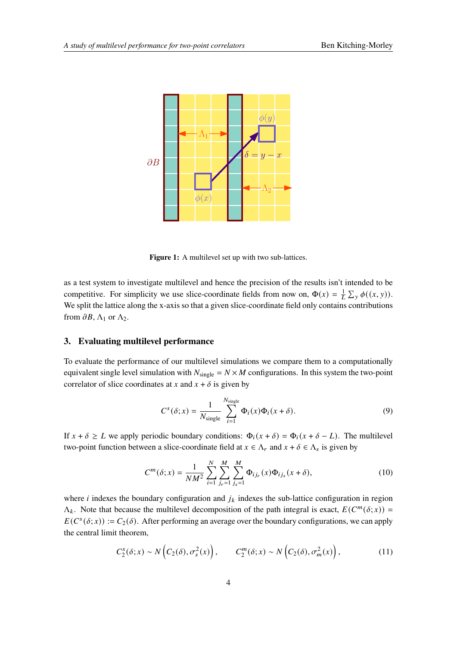

Figure 1: A multilevel set up with two sub-lattices.

as a test system to investigate multilevel and hence the precision of the results isn't intended to be competitive. For simplicity we use slice-coordinate fields from now on,  $\Phi(x) = \frac{1}{L} \sum_{y} \phi((x, y))$ . We split the lattice along the x-axis so that a given slice-coordinate field only contains contributions from  $\partial B$ ,  $\Lambda_1$  or  $\Lambda_2$ .

#### **3. Evaluating multilevel performance**

To evaluate the performance of our multilevel simulations we compare them to a computationally equivalent single level simulation with  $N_{single} = N \times M$  configurations. In this system the two-point correlator of slice coordinates at x and  $x + \delta$  is given by

$$
C^{s}(\delta; x) = \frac{1}{N_{\text{single}}}\sum_{i=1}^{N_{\text{single}}}\Phi_{i}(x)\Phi_{i}(x+\delta). \tag{9}
$$

If  $x + \delta \geq L$  we apply periodic boundary conditions:  $\Phi_i(x + \delta) = \Phi_i(x + \delta - L)$ . The multilevel two-point function between a slice-coordinate field at  $x \in \Lambda_r$  and  $x + \delta \in \Lambda_s$  is given by

$$
C^{m}(\delta; x) = \frac{1}{NM^2} \sum_{i=1}^{N} \sum_{j_r=1}^{M} \sum_{j_s=1}^{M} \Phi_{ij_r}(x) \Phi_{ij_s}(x + \delta),
$$
\n(10)

where *i* indexes the boundary configuration and  $j_k$  indexes the sub-lattice configuration in region  $\Lambda_k$ . Note that because the multilevel decomposition of the path integral is exact,  $E(C^m(\delta; x))$  =  $E(C<sup>s</sup>(\delta; x)) := C<sub>2</sub>(\delta)$ . After performing an average over the boundary configurations, we can apply the central limit theorem,

$$
C_2^s(\delta; x) \sim N\left(C_2(\delta), \sigma_s^2(x)\right), \qquad C_2^m(\delta; x) \sim N\left(C_2(\delta), \sigma_m^2(x)\right), \tag{11}
$$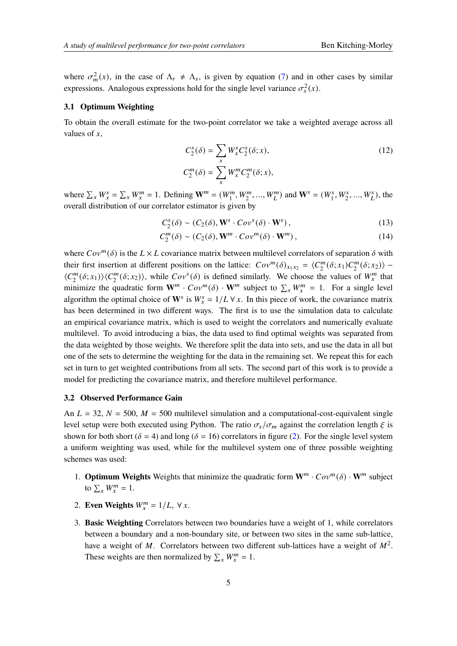where  $\sigma_m^2(x)$ , in the case of  $\Lambda_r \neq \Lambda_s$ , is given by equation [\(7\)](#page-2-0) and in other cases by similar expressions. Analogous expressions hold for the single level variance  $\sigma_s^2(x)$ .

#### **3.1 Optimum Weighting**

To obtain the overall estimate for the two-point correlator we take a weighted average across all values of  $x$ ,

$$
C_2^s(\delta) = \sum_x W_x^s C_2^s(\delta; x),
$$
  
\n
$$
C_2^m(\delta) = \sum_x W_x^m C_2^m(\delta; x),
$$
\n(12)

where  $\sum_{x} W_x^s = \sum_{x} W_x^m = 1$ . Defining  $\mathbf{W}^m = (W_1^m, W_2^m, ..., W_L^m)$  and  $\mathbf{W}^s = (W_1^s, W_2^s, ..., W_L^s)$ , the overall distribution of our correlator estimator is given by

$$
C_2^s(\delta) \sim (C_2(\delta), \mathbf{W}^s \cdot Cov^s(\delta) \cdot \mathbf{W}^s), \qquad (13)
$$

$$
C_2^m(\delta) \sim (C_2(\delta), \mathbf{W}^m \cdot Cov^m(\delta) \cdot \mathbf{W}^m), \qquad (14)
$$

where  $Cov^m(\delta)$  is the  $L \times L$  covariance matrix between multilevel correlators of separation  $\delta$  with their first insertion at different positions on the lattice:  $Cov^m(\delta)_{x_1x_2} = \langle C_2^m \rangle$  $2^m_2(\delta; x_1) C_2^m$  $\binom{m}{2}(\delta; x_2)$  –  $\langle C_2^m$  $\binom{m}{2}(\delta; x_1) \rangle \langle C_2^m$  $Z_2^m(\delta; x_2)$ , while  $Cov^s(\delta)$  is defined similarly. We choose the values of  $W_x^m$  that minimize the quadratic form  $W^m \cdot Cov^m(\delta) \cdot W^m$  subject to  $\sum_x W_x^m = 1$ . For a single level algorithm the optimal choice of  $W^s$  is  $W^s = 1/L \forall x$ . In this piece of work, the covariance matrix has been determined in two different ways. The first is to use the simulation data to calculate an empirical covariance matrix, which is used to weight the correlators and numerically evaluate multilevel. To avoid introducing a bias, the data used to find optimal weights was separated from the data weighted by those weights. We therefore split the data into sets, and use the data in all but one of the sets to determine the weighting for the data in the remaining set. We repeat this for each set in turn to get weighted contributions from all sets. The second part of this work is to provide a model for predicting the covariance matrix, and therefore multilevel performance.

#### **3.2 Observed Performance Gain**

An  $L = 32$ ,  $N = 500$ ,  $M = 500$  multilevel simulation and a computational-cost-equivalent single level setup were both executed using Python. The ratio  $\sigma_s / \sigma_m$  against the correlation length  $\xi$  is shown for both short ( $\delta = 4$ ) and long ( $\delta = 16$ ) correlators in figure [\(2\)](#page-5-0). For the single level system a uniform weighting was used, while for the multilevel system one of three possible weighting schemes was used:

- 1. **Optimum Weights** Weights that minimize the quadratic form  $W^m \cdot Cov^m(\delta) \cdot W^m$  subject to  $\sum_{x} W_x^m = 1$ .
- 2. **Even Weights**  $W_x^m = 1/L$ ,  $\forall x$ .
- 3. **Basic Weighting** Correlators between two boundaries have a weight of 1, while correlators between a boundary and a non-boundary site, or between two sites in the same sub-lattice, have a weight of M. Correlators between two different sub-lattices have a weight of  $M^2$ . These weights are then normalized by  $\sum_{x} W_x^m = 1$ .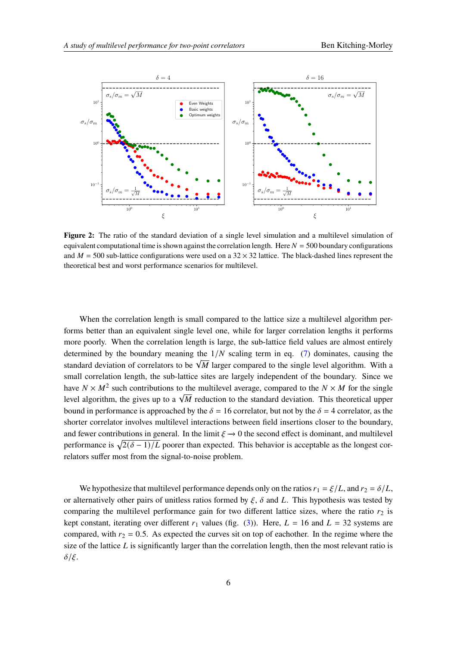<span id="page-5-0"></span>

**Figure 2:** The ratio of the standard deviation of a single level simulation and a multilevel simulation of equivalent computational time is shown against the correlation length. Here  $N = 500$  boundary configurations and  $M = 500$  sub-lattice configurations were used on a 32  $\times$  32 lattice. The black-dashed lines represent the theoretical best and worst performance scenarios for multilevel.

When the correlation length is small compared to the lattice size a multilevel algorithm performs better than an equivalent single level one, while for larger correlation lengths it performs more poorly. When the correlation length is large, the sub-lattice field values are almost entirely determined by the boundary meaning the  $1/N$  scaling term in eq. [\(7\)](#page-2-0) dominates, causing the standard deviation of correlators to be  $\sqrt{M}$  larger compared to the single level algorithm. With a small correlation length, the sub-lattice sites are largely independent of the boundary. Since we have  $N \times M^2$  such contributions to the multilevel average, compared to the  $N \times M$  for the single level algorithm, the gives up to a  $\sqrt{M}$  reduction to the standard deviation. This theoretical upper level algorithm, the gives up to a  $\sqrt{M}$  reduction to the standard deviation. This theoretical upper bound in performance is approached by the  $\delta = 16$  correlator, but not by the  $\delta = 4$  correlator, as the shorter correlator involves multilevel interactions between field insertions closer to the boundary, and fewer contributions in general. In the limit  $\xi \rightarrow 0$  the second effect is dominant, and multilevel performance is  $\sqrt{2(\delta-1)/L}$  poorer than expected. This behavior is acceptable as the longest correlators suffer most from the signal-to-noise problem.

We hypothesize that multilevel performance depends only on the ratios  $r_1 = \xi/L$ , and  $r_2 = \delta/L$ , or alternatively other pairs of unitless ratios formed by  $\xi$ ,  $\delta$  and L. This hypothesis was tested by comparing the multilevel performance gain for two different lattice sizes, where the ratio  $r_2$  is kept constant, iterating over different  $r_1$  values (fig. [\(3\)](#page-6-0)). Here,  $L = 16$  and  $L = 32$  systems are compared, with  $r_2 = 0.5$ . As expected the curves sit on top of eachother. In the regime where the size of the lattice  $L$  is significantly larger than the correlation length, then the most relevant ratio is  $\delta/\xi$ .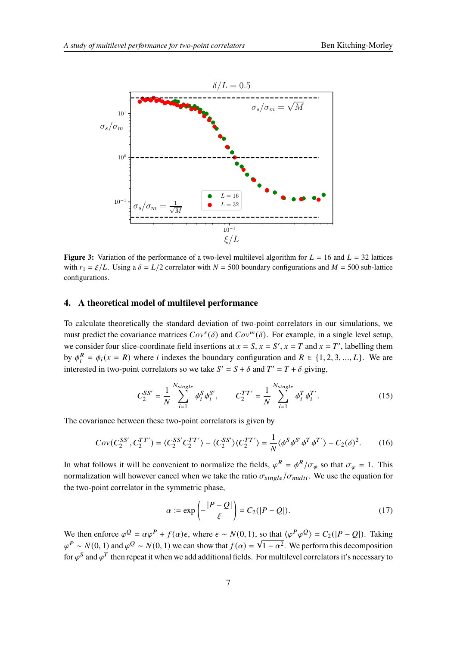<span id="page-6-0"></span>

**Figure 3:** Variation of the performance of a two-level multilevel algorithm for  $L = 16$  and  $L = 32$  lattices with  $r_1 = \xi/L$ . Using a  $\delta = L/2$  correlator with  $N = 500$  boundary configurations and  $M = 500$  sub-lattice configurations.

#### **4. A theoretical model of multilevel performance**

To calculate theoretically the standard deviation of two-point correlators in our simulations, we must predict the covariance matrices  $Cov^s(\delta)$  and  $Cov^m(\delta)$ . For example, in a single level setup, we consider four slice-coordinate field insertions at  $x = S$ ,  $x = S'$ ,  $x = T$  and  $x = T'$ , labelling them by  $\phi_i^R = \phi_i(x = R)$  where *i* indexes the boundary configuration and  $R \in \{1, 2, 3, ..., L\}$ . We are interested in two-point correlators so we take  $S' = S + \delta$  and  $T' = T + \delta$  giving,

$$
C_2^{SS'} = \frac{1}{N} \sum_{i=1}^{N_{single}} \phi_i^S \phi_i^{S'}, \qquad C_2^{TT'} = \frac{1}{N} \sum_{i=1}^{N_{single}} \phi_i^T \phi_i^{T'}.
$$
 (15)

The covariance between these two-point correlators is given by

$$
Cov(C_2^{SS'}, C_2^{TT'}) = \langle C_2^{SS'} C_2^{TT'} \rangle - \langle C_2^{SS'} \rangle \langle C_2^{TT'} \rangle = \frac{1}{N} \langle \phi^S \phi^{S'} \phi^T \phi^{T'} \rangle - C_2(\delta)^2. \tag{16}
$$

In what follows it will be convenient to normalize the fields,  $\varphi^R = \varphi^R / \sigma_{\phi}$  so that  $\sigma_{\varphi} = 1$ . This normalization will however cancel when we take the ratio  $\sigma_{single}/\sigma_{multi}$ . We use the equation for the two-point correlator in the symmetric phase,

$$
\alpha := \exp\left(-\frac{|P-Q|}{\xi}\right) = C_2(|P-Q|). \tag{17}
$$

We then enforce  $\varphi^Q = \alpha \varphi^P + f(\alpha)\epsilon$ , where  $\epsilon \sim N(0, 1)$ , so that  $\langle \varphi^P \varphi^Q \rangle = C_2(|P - Q|)$ . Taking  $\varphi^P \sim N(0, 1)$  and  $\varphi^Q \sim N(0, 1)$  we can show that  $f(\alpha) = \sqrt{1 - \alpha^2}$ . We perform this decomposition for  $\varphi^S$  and  $\varphi^T$  then repeat it when we add additional fields. For multilevel correlators it's necessary to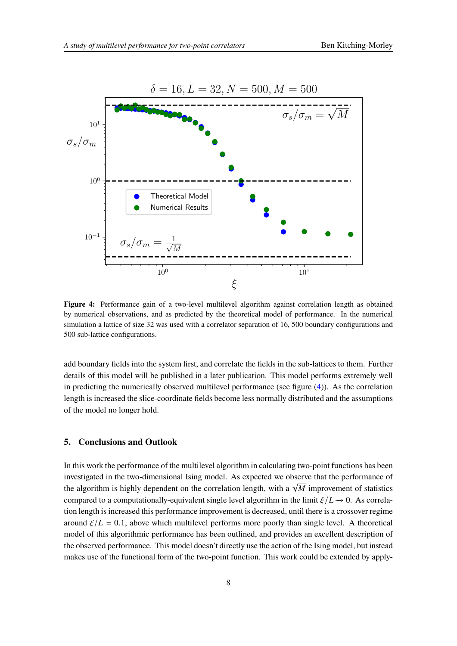<span id="page-7-0"></span>

**Figure 4:** Performance gain of a two-level multilevel algorithm against correlation length as obtained by numerical observations, and as predicted by the theoretical model of performance. In the numerical simulation a lattice of size 32 was used with a correlator separation of 16, 500 boundary configurations and 500 sub-lattice configurations.

add boundary fields into the system first, and correlate the fields in the sub-lattices to them. Further details of this model will be published in a later publication. This model performs extremely well in predicting the numerically observed multilevel performance (see figure [\(4\)](#page-7-0)). As the correlation length is increased the slice-coordinate fields become less normally distributed and the assumptions of the model no longer hold.

#### **5. Conclusions and Outlook**

In this work the performance of the multilevel algorithm in calculating two-point functions has been investigated in the two-dimensional Ising model. As expected we observe that the performance of the algorithm is highly dependent on the correlation length, with a  $\sqrt{M}$  improvement of statistics compared to a computationally-equivalent single level algorithm in the limit  $\zeta/L \rightarrow 0$ . As correlation length is increased this performance improvement is decreased, until there is a crossover regime around  $\zeta/L = 0.1$ , above which multilevel performs more poorly than single level. A theoretical model of this algorithmic performance has been outlined, and provides an excellent description of the observed performance. This model doesn't directly use the action of the Ising model, but instead makes use of the functional form of the two-point function. This work could be extended by apply